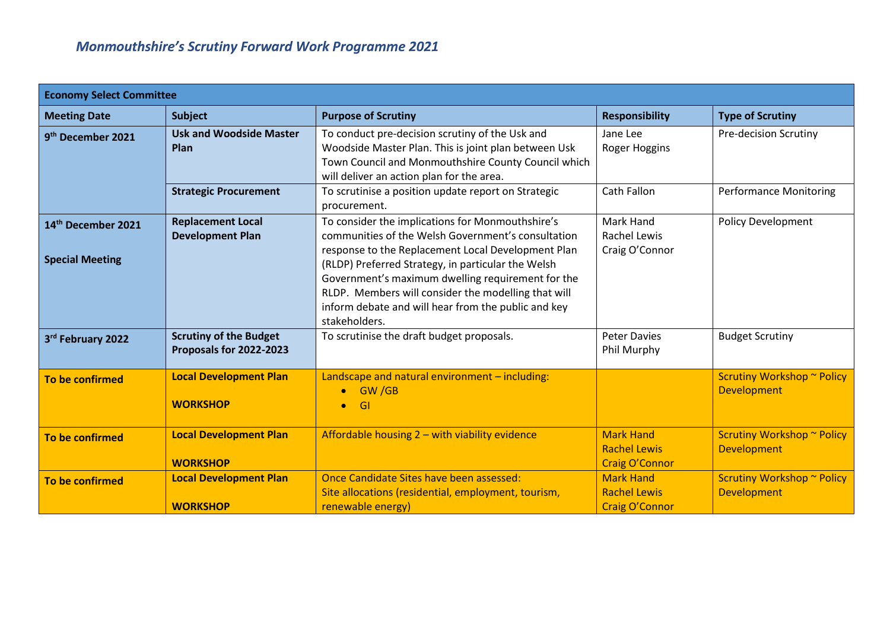| <b>Economy Select Committee</b>                          |                                                          |                                                                                                                                                                                                                                                                                                                                                                                                        |                                                                  |                                                  |  |  |  |
|----------------------------------------------------------|----------------------------------------------------------|--------------------------------------------------------------------------------------------------------------------------------------------------------------------------------------------------------------------------------------------------------------------------------------------------------------------------------------------------------------------------------------------------------|------------------------------------------------------------------|--------------------------------------------------|--|--|--|
| <b>Meeting Date</b>                                      | <b>Subject</b>                                           | <b>Purpose of Scrutiny</b>                                                                                                                                                                                                                                                                                                                                                                             | <b>Responsibility</b>                                            | <b>Type of Scrutiny</b>                          |  |  |  |
| 9 <sup>th</sup> December 2021                            | <b>Usk and Woodside Master</b><br>Plan                   | To conduct pre-decision scrutiny of the Usk and<br>Woodside Master Plan. This is joint plan between Usk<br>Town Council and Monmouthshire County Council which<br>will deliver an action plan for the area.                                                                                                                                                                                            | Jane Lee<br>Roger Hoggins                                        | Pre-decision Scrutiny                            |  |  |  |
|                                                          | <b>Strategic Procurement</b>                             | To scrutinise a position update report on Strategic<br>procurement.                                                                                                                                                                                                                                                                                                                                    | <b>Cath Fallon</b>                                               | <b>Performance Monitoring</b>                    |  |  |  |
| 14 <sup>th</sup> December 2021<br><b>Special Meeting</b> | <b>Replacement Local</b><br><b>Development Plan</b>      | To consider the implications for Monmouthshire's<br>communities of the Welsh Government's consultation<br>response to the Replacement Local Development Plan<br>(RLDP) Preferred Strategy, in particular the Welsh<br>Government's maximum dwelling requirement for the<br>RLDP. Members will consider the modelling that will<br>inform debate and will hear from the public and key<br>stakeholders. | Mark Hand<br><b>Rachel Lewis</b><br>Craig O'Connor               | <b>Policy Development</b>                        |  |  |  |
| 3rd February 2022                                        | <b>Scrutiny of the Budget</b><br>Proposals for 2022-2023 | To scrutinise the draft budget proposals.                                                                                                                                                                                                                                                                                                                                                              | <b>Peter Davies</b><br>Phil Murphy                               | <b>Budget Scrutiny</b>                           |  |  |  |
| To be confirmed                                          | <b>Local Development Plan</b><br><b>WORKSHOP</b>         | Landscape and natural environment - including:<br>$\bullet$ GW/GB<br>GI<br>$\bullet$                                                                                                                                                                                                                                                                                                                   |                                                                  | Scrutiny Workshop ~ Policy<br><b>Development</b> |  |  |  |
| To be confirmed                                          | <b>Local Development Plan</b><br><b>WORKSHOP</b>         | Affordable housing 2 - with viability evidence                                                                                                                                                                                                                                                                                                                                                         | <b>Mark Hand</b><br><b>Rachel Lewis</b><br><b>Craig O'Connor</b> | Scrutiny Workshop ~ Policy<br><b>Development</b> |  |  |  |
| To be confirmed                                          | <b>Local Development Plan</b><br><b>WORKSHOP</b>         | Once Candidate Sites have been assessed:<br>Site allocations (residential, employment, tourism,<br>renewable energy)                                                                                                                                                                                                                                                                                   | <b>Mark Hand</b><br><b>Rachel Lewis</b><br><b>Craig O'Connor</b> | Scrutiny Workshop ~ Policy<br><b>Development</b> |  |  |  |